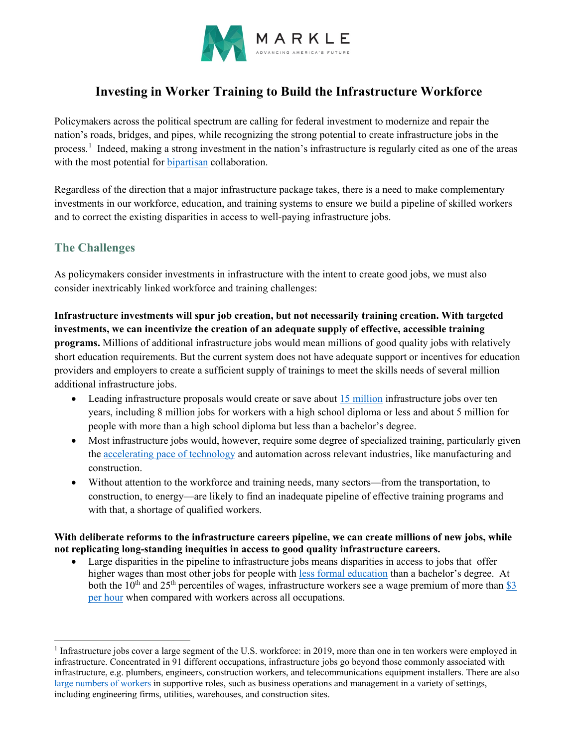

# **Investing in Worker Training to Build the Infrastructure Workforce**

Policymakers across the political spectrum are calling for federal investment to modernize and repair the nation's roads, bridges, and pipes, while recognizing the strong potential to create infrastructure jobs in the process.<sup>[1](#page-0-0)</sup> Indeed, making a strong investment in the nation's infrastructure is regularly cited as one of the areas with the most potential for [bipartisan](https://apnews.com/article/joe-biden-c98de9fe006e508c59857e32fd12ca1a) collaboration.

Regardless of the direction that a major infrastructure package takes, there is a need to make complementary investments in our workforce, education, and training systems to ensure we build a pipeline of skilled workers and to correct the existing disparities in access to well-paying infrastructure jobs.

# **The Challenges**

 $\overline{a}$ 

As policymakers consider investments in infrastructure with the intent to create good jobs, we must also consider inextricably linked workforce and training challenges:

**Infrastructure investments will spur job creation, but not necessarily training creation. With targeted investments, we can incentivize the creation of an adequate supply of effective, accessible training programs.** Millions of additional infrastructure jobs would mean millions of good quality jobs with relatively short education requirements. But the current system does not have adequate support or incentives for education providers and employers to create a sufficient supply of trainings to meet the skills needs of several million additional infrastructure jobs.

- Leading infrastructure proposals would create or save about [15 million](https://cew.georgetown.edu/cew-reports/infrastructure/) infrastructure jobs over ten years, including 8 million jobs for workers with a high school diploma or less and about 5 million for people with more than a high school diploma but less than a bachelor's degree.
- Most infrastructure jobs would, however, require some degree of specialized training, particularly given the [accelerating pace of technology](https://www2.deloitte.com/us/en/pages/monitor-institute/articles/bridging-the-manufacturing-and-construction-skills-gap.html) and automation across relevant industries, like manufacturing and construction.
- Without attention to the workforce and training needs, many sectors—from the transportation, to construction, to energy—are likely to find an inadequate pipeline of effective training programs and with that, a shortage of qualified workers.

#### **With deliberate reforms to the infrastructure careers pipeline, we can create millions of new jobs, while not replicating long-standing inequities in access to good quality infrastructure careers.**

• Large disparities in the pipeline to infrastructure jobs means disparities in access to jobs that offer higher wages than most other jobs for people with [less formal education](https://cew.georgetown.edu/wp-content/uploads/trillion-dollar-infrastructure.pdf) than a bachelor's degree. At both the  $10^{th}$  and  $25^{th}$  percentiles of wages, infrastructure workers see a wage premium of more than \$3 [per hour](https://www.brookings.edu/blog/the-avenue/2021/01/29/biden-needs-to-create-an-infrastructure-talent-pipeline-not-just-more-jobs/) when compared with workers across all occupations.

<span id="page-0-0"></span><sup>&</sup>lt;sup>1</sup> Infrastructure jobs cover a large segment of the U.S. workforce: in 2019, more than one in ten workers were employed in infrastructure. Concentrated in 91 different occupations, infrastructure jobs go beyond those commonly associated with infrastructure, e.g. plumbers, engineers, construction workers, and telecommunications equipment installers. There are also [large numbers of workers](https://www.brookings.edu/blog/the-avenue/2021/01/29/biden-needs-to-create-an-infrastructure-talent-pipeline-not-just-more-jobs/) in supportive roles, such as business operations and management in a variety of settings, including engineering firms, utilities, warehouses, and construction sites.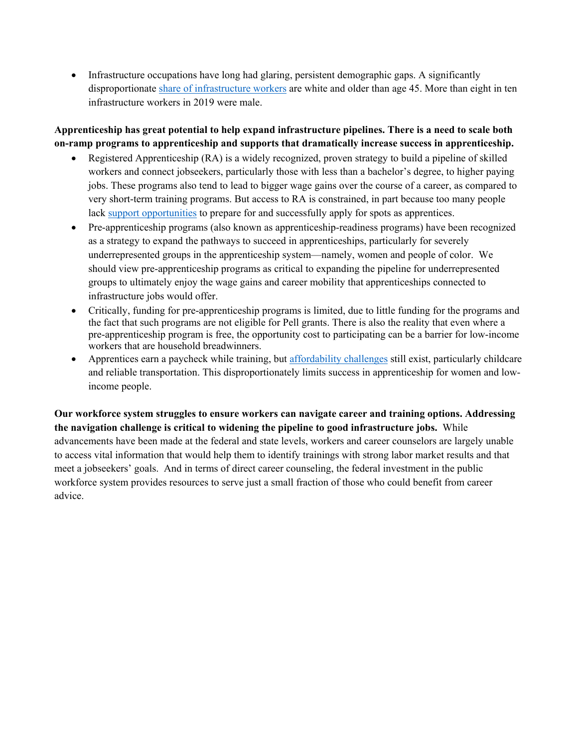• Infrastructure occupations have long had glaring, persistent demographic gaps. A significantly disproportionate [share of infrastructure workers](https://www.brookings.edu/blog/the-avenue/2021/01/29/biden-needs-to-create-an-infrastructure-talent-pipeline-not-just-more-jobs/) are white and older than age 45. More than eight in ten infrastructure workers in 2019 were male.

### **Apprenticeship has great potential to help expand infrastructure pipelines. There is a need to scale both on-ramp programs to apprenticeship and supports that dramatically increase success in apprenticeship.**

- Registered Apprenticeship (RA) is a widely recognized, proven strategy to build a pipeline of skilled workers and connect jobseekers, particularly those with less than a bachelor's degree, to higher paying jobs. These programs also tend to lead to bigger wage gains over the course of a career, as compared to very short-term training programs. But access to RA is constrained, in part because too many people lack [support opportunities](https://www.jff.org/points-of-view/we-need-raise-bar-pre-apprenticeships/) to prepare for and successfully apply for spots as apprentices.
- Pre-apprenticeship programs (also known as apprenticeship-readiness programs) have been recognized as a strategy to expand the pathways to succeed in apprenticeships, particularly for severely underrepresented groups in the apprenticeship system—namely, women and people of color. We should view pre-apprenticeship programs as critical to expanding the pipeline for underrepresented groups to ultimately enjoy the wage gains and career mobility that apprenticeships connected to infrastructure jobs would offer.
- Critically, funding for pre-apprenticeship programs is limited, due to little funding for the programs and the fact that such programs are not eligible for Pell grants. There is also the reality that even where a pre-apprenticeship program is free, the opportunity cost to participating can be a barrier for low-income workers that are household breadwinners.
- Apprentices earn a paycheck while training, but [affordability challenges](https://www.thirdway.org/memo/how-a-biden-administration-can-guarantee-apprenticeships-for-all) still exist, particularly childcare and reliable transportation. This disproportionately limits success in apprenticeship for women and lowincome people.

**Our workforce system struggles to ensure workers can navigate career and training options. Addressing the navigation challenge is critical to widening the pipeline to good infrastructure jobs.** While advancements have been made at the federal and state levels, workers and career counselors are largely unable to access vital information that would help them to identify trainings with strong labor market results and that meet a jobseekers' goals. And in terms of direct career counseling, the federal investment in the public workforce system provides resources to serve just a small fraction of those who could benefit from career advice.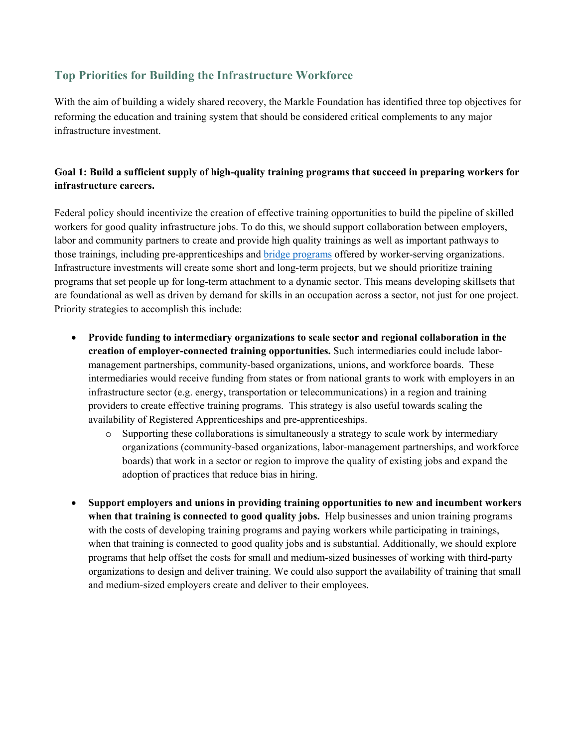## **Top Priorities for Building the Infrastructure Workforce**

With the aim of building a widely shared recovery, the Markle Foundation has identified three top objectives for reforming the education and training system that should be considered critical complements to any major infrastructure investment.

### **Goal 1: Build a sufficient supply of high-quality training programs that succeed in preparing workers for infrastructure careers.**

Federal policy should incentivize the creation of effective training opportunities to build the pipeline of skilled workers for good quality infrastructure jobs. To do this, we should support collaboration between employers, labor and community partners to create and provide high quality trainings as well as important pathways to those trainings, including pre-apprenticeships and **bridge programs** offered by worker-serving organizations. Infrastructure investments will create some short and long-term projects, but we should prioritize training programs that set people up for long-term attachment to a dynamic sector. This means developing skillsets that are foundational as well as driven by demand for skills in an occupation across a sector, not just for one project. Priority strategies to accomplish this include:

- **Provide funding to intermediary organizations to scale sector and regional collaboration in the creation of employer-connected training opportunities.** Such intermediaries could include labormanagement partnerships, community-based organizations, unions, and workforce boards. These intermediaries would receive funding from states or from national grants to work with employers in an infrastructure sector (e.g. energy, transportation or telecommunications) in a region and training providers to create effective training programs. This strategy is also useful towards scaling the availability of Registered Apprenticeships and pre-apprenticeships.
	- $\circ$  Supporting these collaborations is simultaneously a strategy to scale work by intermediary organizations (community-based organizations, labor-management partnerships, and workforce boards) that work in a sector or region to improve the quality of existing jobs and expand the adoption of practices that reduce bias in hiring.
- **Support employers and unions in providing training opportunities to new and incumbent workers when that training is connected to good quality jobs.** Help businesses and union training programs with the costs of developing training programs and paying workers while participating in trainings, when that training is connected to good quality jobs and is substantial. Additionally, we should explore programs that help offset the costs for small and medium-sized businesses of working with third-party organizations to design and deliver training. We could also support the availability of training that small and medium-sized employers create and deliver to their employees.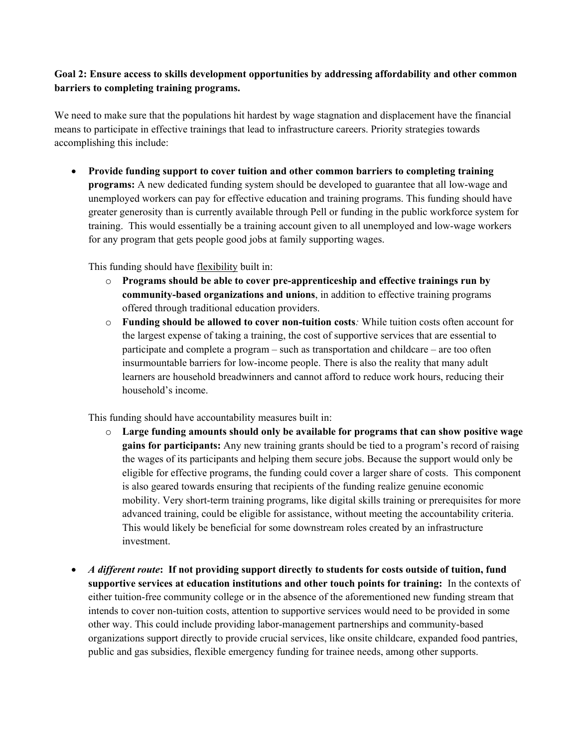### **Goal 2: Ensure access to skills development opportunities by addressing affordability and other common barriers to completing training programs.**

We need to make sure that the populations hit hardest by wage stagnation and displacement have the financial means to participate in effective trainings that lead to infrastructure careers. Priority strategies towards accomplishing this include:

• **Provide funding support to cover tuition and other common barriers to completing training programs:** A new dedicated funding system should be developed to guarantee that all low-wage and unemployed workers can pay for effective education and training programs. This funding should have greater generosity than is currently available through Pell or funding in the public workforce system for training. This would essentially be a training account given to all unemployed and low-wage workers for any program that gets people good jobs at family supporting wages.

This funding should have flexibility built in:

- o **Programs should be able to cover pre-apprenticeship and effective trainings run by community-based organizations and unions**, in addition to effective training programs offered through traditional education providers.
- o **Funding should be allowed to cover non-tuition costs***:* While tuition costs often account for the largest expense of taking a training, the cost of supportive services that are essential to participate and complete a program – such as transportation and childcare – are too often insurmountable barriers for low-income people. There is also the reality that many adult learners are household breadwinners and cannot afford to reduce work hours, reducing their household's income.

This funding should have accountability measures built in:

- o **Large funding amounts should only be available for programs that can show positive wage gains for participants:** Any new training grants should be tied to a program's record of raising the wages of its participants and helping them secure jobs. Because the support would only be eligible for effective programs, the funding could cover a larger share of costs. This component is also geared towards ensuring that recipients of the funding realize genuine economic mobility. Very short-term training programs, like digital skills training or prerequisites for more advanced training, could be eligible for assistance, without meeting the accountability criteria. This would likely be beneficial for some downstream roles created by an infrastructure investment.
- *A different route***: If not providing support directly to students for costs outside of tuition, fund supportive services at education institutions and other touch points for training:** In the contexts of either tuition-free community college or in the absence of the aforementioned new funding stream that intends to cover non-tuition costs, attention to supportive services would need to be provided in some other way. This could include providing labor-management partnerships and community-based organizations support directly to provide crucial services, like onsite childcare, expanded food pantries, public and gas subsidies, flexible emergency funding for trainee needs, among other supports.